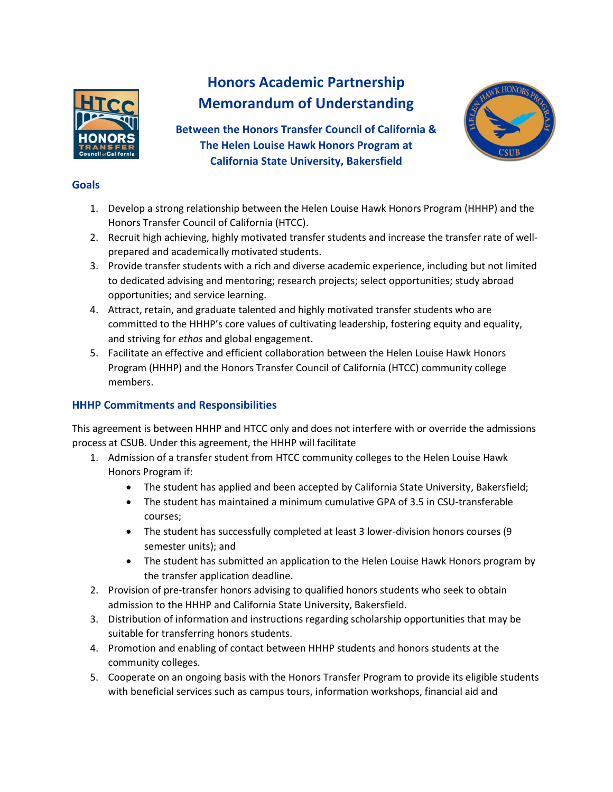

# **Honors Academic Partnership Memorandum of Understanding**

**Between the Honors Transfer Council of California & The Helen Louise Hawk Honors Program at California State University, Bakersfield**



## **Goals**

- 1. Develop a strong relationship between the Helen Louise Hawk Honors Program (HHHP) and the Honors Transfer Council of California (HTCC).
- 2. Recruit high achieving, highly motivated transfer students and increase the transfer rate of wellprepared and academically motivated students.
- 3. Provide transfer students with a rich and diverse academic experience, including but not limited to dedicated advising and mentoring; research projects; select opportunities; study abroad opportunities; and service learning.
- 4. Attract, retain, and graduate talented and highly motivated transfer students who are committed to the HHHP's core values of cultivating leadership, fostering equity and equality, and striving for *ethos* and global engagement.
- 5. Facilitate an effective and efficient collaboration between the Helen Louise Hawk Honors Program (HHHP) and the Honors Transfer Council of California (HTCC) community college members.

# **HHHP Commitments and Responsibilities**

This agreement is between HHHP and HTCC only and does not interfere with or override the admissions process at CSUB. Under this agreement, the HHHP will facilitate

- 1. Admission of a transfer student from HTCC community colleges to the Helen Louise Hawk Honors Program if:
	- The student has applied and been accepted by California State University, Bakersfield;
	- The student has maintained a minimum cumulative GPA of 3.5 in CSU-transferable courses;
	- The student has successfully completed at least 3 lower-division honors courses (9 semester units); and
	- The student has submitted an application to the Helen Louise Hawk Honors program by the transfer application deadline.
- 2. Provision of pre-transfer honors advising to qualified honors students who seek to obtain admission to the HHHP and California State University, Bakersfield.
- 3. Distribution of information and instructions regarding scholarship opportunities that may be suitable for transferring honors students.
- 4. Promotion and enabling of contact between HHHP students and honors students at the community colleges.
- 5. Cooperate on an ongoing basis with the Honors Transfer Program to provide its eligible students with beneficial services such as campus tours, information workshops, financial aid and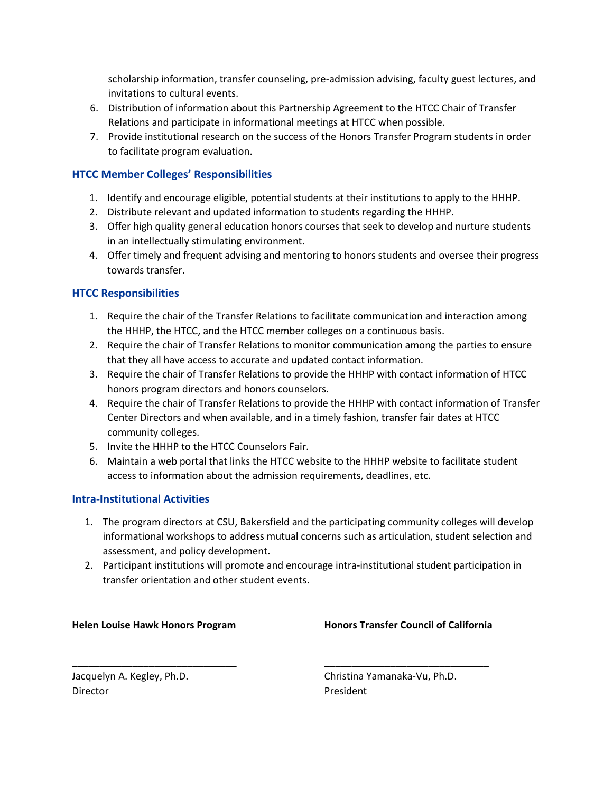scholarship information, transfer counseling, pre-admission advising, faculty guest lectures, and invitations to cultural events.

- 6. Distribution of information about this Partnership Agreement to the HTCC Chair of Transfer Relations and participate in informational meetings at HTCC when possible.
- 7. Provide institutional research on the success of the Honors Transfer Program students in order to facilitate program evaluation.

### **HTCC Member Colleges' Responsibilities**

- 1. Identify and encourage eligible, potential students at their institutions to apply to the HHHP.
- 2. Distribute relevant and updated information to students regarding the HHHP.
- 3. Offer high quality general education honors courses that seek to develop and nurture students in an intellectually stimulating environment.
- 4. Offer timely and frequent advising and mentoring to honors students and oversee their progress towards transfer.

#### **HTCC Responsibilities**

- 1. Require the chair of the Transfer Relations to facilitate communication and interaction among the HHHP, the HTCC, and the HTCC member colleges on a continuous basis.
- 2. Require the chair of Transfer Relations to monitor communication among the parties to ensure that they all have access to accurate and updated contact information.
- 3. Require the chair of Transfer Relations to provide the HHHP with contact information of HTCC honors program directors and honors counselors.
- 4. Require the chair of Transfer Relations to provide the HHHP with contact information of Transfer Center Directors and when available, and in a timely fashion, transfer fair dates at HTCC community colleges.
- 5. Invite the HHHP to the HTCC Counselors Fair.
- 6. Maintain a web portal that links the HTCC website to the HHHP website to facilitate student access to information about the admission requirements, deadlines, etc.

#### **Intra-Institutional Activities**

- 1. The program directors at CSU, Bakersfield and the participating community colleges will develop informational workshops to address mutual concerns such as articulation, student selection and assessment, and policy development.
- 2. Participant institutions will promote and encourage intra-institutional student participation in transfer orientation and other student events.

**\_\_\_\_\_\_\_\_\_\_\_\_\_\_\_\_\_\_\_\_\_\_\_\_\_\_\_\_\_\_ \_\_\_\_\_\_\_\_\_\_\_\_\_\_\_\_\_\_\_\_\_\_\_\_\_\_\_\_\_\_**

#### **Helen Louise Hawk Honors Program Honors Transfer Council of California**

Director President

Jacquelyn A. Kegley, Ph.D. Christina Yamanaka-Vu, Ph.D.